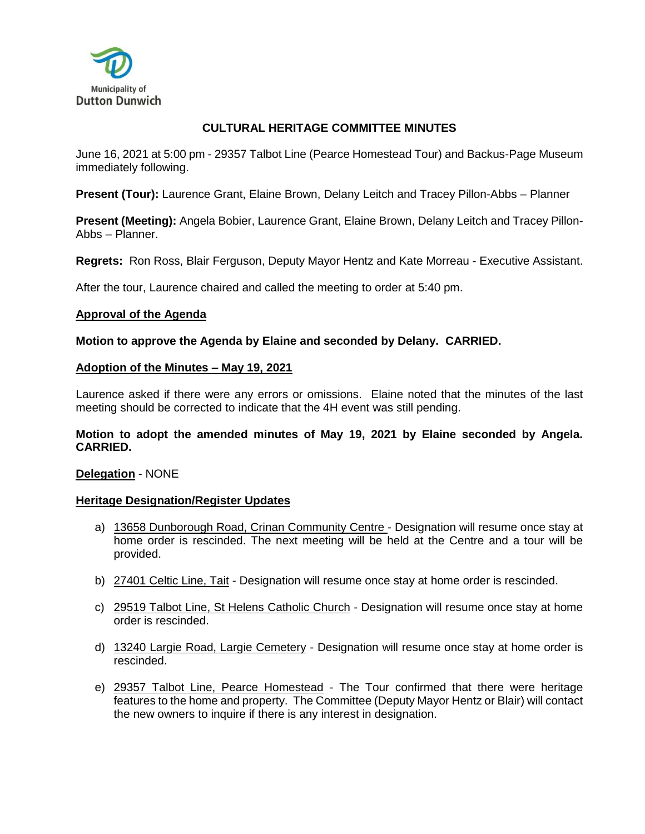

# **CULTURAL HERITAGE COMMITTEE MINUTES**

June 16, 2021 at 5:00 pm - 29357 Talbot Line (Pearce Homestead Tour) and Backus-Page Museum immediately following.

**Present (Tour):** Laurence Grant, Elaine Brown, Delany Leitch and Tracey Pillon-Abbs – Planner

**Present (Meeting):** Angela Bobier, Laurence Grant, Elaine Brown, Delany Leitch and Tracey Pillon-Abbs – Planner.

**Regrets:** Ron Ross, Blair Ferguson, Deputy Mayor Hentz and Kate Morreau - Executive Assistant.

After the tour, Laurence chaired and called the meeting to order at 5:40 pm.

### **Approval of the Agenda**

### **Motion to approve the Agenda by Elaine and seconded by Delany. CARRIED.**

### **Adoption of the Minutes – May 19, 2021**

Laurence asked if there were any errors or omissions. Elaine noted that the minutes of the last meeting should be corrected to indicate that the 4H event was still pending.

## **Motion to adopt the amended minutes of May 19, 2021 by Elaine seconded by Angela. CARRIED.**

### **Delegation** - NONE

### **Heritage Designation/Register Updates**

- a) 13658 Dunborough Road, Crinan Community Centre Designation will resume once stay at home order is rescinded. The next meeting will be held at the Centre and a tour will be provided.
- b) 27401 Celtic Line, Tait Designation will resume once stay at home order is rescinded.
- c) 29519 Talbot Line, St Helens Catholic Church Designation will resume once stay at home order is rescinded.
- d) 13240 Largie Road, Largie Cemetery Designation will resume once stay at home order is rescinded.
- e) 29357 Talbot Line, Pearce Homestead The Tour confirmed that there were heritage features to the home and property. The Committee (Deputy Mayor Hentz or Blair) will contact the new owners to inquire if there is any interest in designation.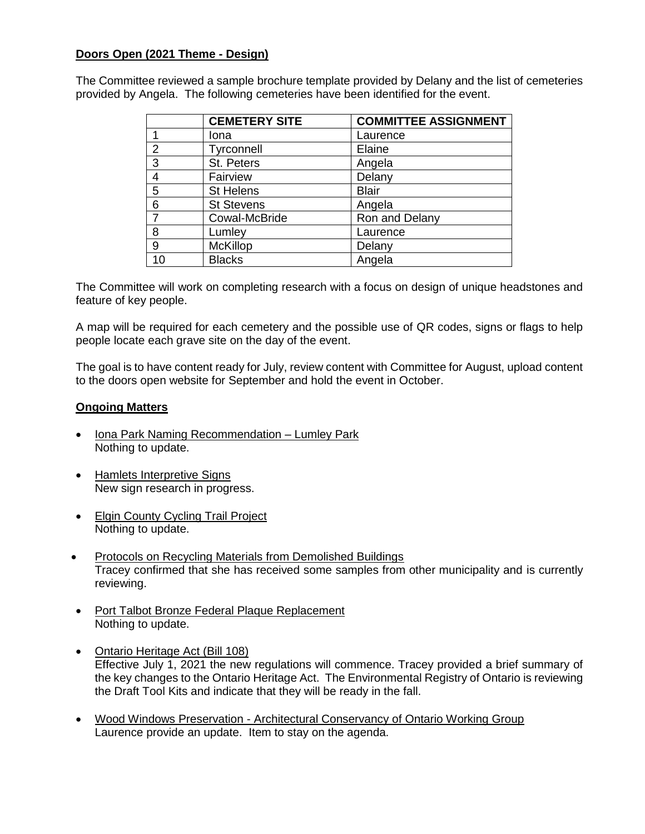# **Doors Open (2021 Theme - Design)**

The Committee reviewed a sample brochure template provided by Delany and the list of cemeteries provided by Angela. The following cemeteries have been identified for the event.

|    | <b>CEMETERY SITE</b> | <b>COMMITTEE ASSIGNMENT</b> |
|----|----------------------|-----------------------------|
|    | Iona                 | Laurence                    |
| 2  | Tyrconnell           | Elaine                      |
| 3  | St. Peters           | Angela                      |
| 4  | Fairview             | Delany                      |
| 5  | <b>St Helens</b>     | <b>Blair</b>                |
| 6  | <b>St Stevens</b>    | Angela                      |
| 7  | Cowal-McBride        | Ron and Delany              |
| 8  | Lumley               | Laurence                    |
| 9  | <b>McKillop</b>      | Delany                      |
| 10 | <b>Blacks</b>        | Angela                      |

The Committee will work on completing research with a focus on design of unique headstones and feature of key people.

A map will be required for each cemetery and the possible use of QR codes, signs or flags to help people locate each grave site on the day of the event.

The goal is to have content ready for July, review content with Committee for August, upload content to the doors open website for September and hold the event in October.

# **Ongoing Matters**

- Iona Park Naming Recommendation Lumley Park Nothing to update.
- Hamlets Interpretive Signs New sign research in progress.
- Elgin County Cycling Trail Project Nothing to update.
- Protocols on Recycling Materials from Demolished Buildings Tracey confirmed that she has received some samples from other municipality and is currently reviewing.
- Port Talbot Bronze Federal Plaque Replacement Nothing to update.
- Ontario Heritage Act (Bill 108) Effective July 1, 2021 the new regulations will commence. Tracey provided a brief summary of the key changes to the Ontario Heritage Act. The Environmental Registry of Ontario is reviewing the Draft Tool Kits and indicate that they will be ready in the fall.
- Wood Windows Preservation Architectural Conservancy of Ontario Working Group Laurence provide an update. Item to stay on the agenda.